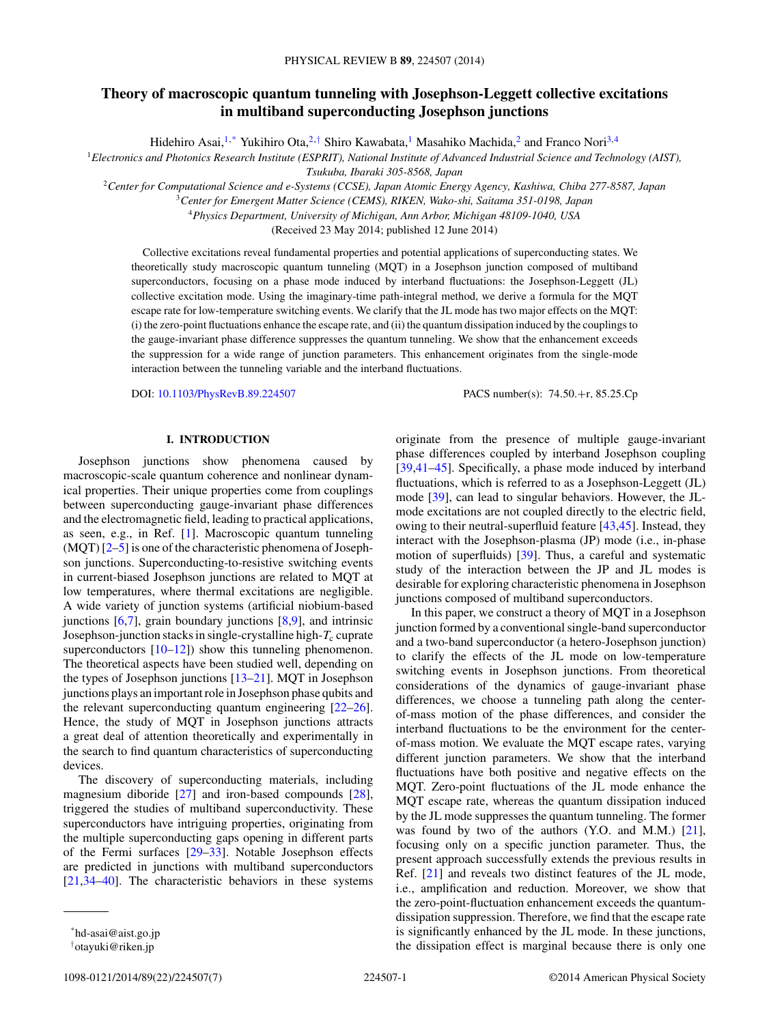# **Theory of macroscopic quantum tunneling with Josephson-Leggett collective excitations in multiband superconducting Josephson junctions**

Hidehiro Asai,<sup>1,\*</sup> Yukihiro Ota,<sup>2,†</sup> Shiro Kawabata,<sup>1</sup> Masahiko Machida,<sup>2</sup> and Franco Nori<sup>3,4</sup>

<sup>1</sup>*Electronics and Photonics Research Institute (ESPRIT), National Institute of Advanced Industrial Science and Technology (AIST), Tsukuba, Ibaraki 305-8568, Japan*

<sup>2</sup>*Center for Computational Science and e-Systems (CCSE), Japan Atomic Energy Agency, Kashiwa, Chiba 277-8587, Japan*

<sup>3</sup>*Center for Emergent Matter Science (CEMS), RIKEN, Wako-shi, Saitama 351-0198, Japan*

<sup>4</sup>*Physics Department, University of Michigan, Ann Arbor, Michigan 48109-1040, USA*

(Received 23 May 2014; published 12 June 2014)

Collective excitations reveal fundamental properties and potential applications of superconducting states. We theoretically study macroscopic quantum tunneling (MQT) in a Josephson junction composed of multiband superconductors, focusing on a phase mode induced by interband fluctuations: the Josephson-Leggett (JL) collective excitation mode. Using the imaginary-time path-integral method, we derive a formula for the MQT escape rate for low-temperature switching events. We clarify that the JL mode has two major effects on the MQT: (i) the zero-point fluctuations enhance the escape rate, and (ii) the quantum dissipation induced by the couplings to the gauge-invariant phase difference suppresses the quantum tunneling. We show that the enhancement exceeds the suppression for a wide range of junction parameters. This enhancement originates from the single-mode interaction between the tunneling variable and the interband fluctuations.

DOI: [10.1103/PhysRevB.89.224507](http://dx.doi.org/10.1103/PhysRevB.89.224507) PACS number(s): 74*.*50*.*+r*,* 85*.*25*.*Cp

#### **I. INTRODUCTION**

Josephson junctions show phenomena caused by macroscopic-scale quantum coherence and nonlinear dynamical properties. Their unique properties come from couplings between superconducting gauge-invariant phase differences and the electromagnetic field, leading to practical applications, as seen, e.g., in Ref. [\[1\]](#page-5-0). Macroscopic quantum tunneling (MQT) [\[2–5\]](#page-5-0) is one of the characteristic phenomena of Josephson junctions. Superconducting-to-resistive switching events in current-biased Josephson junctions are related to MQT at low temperatures, where thermal excitations are negligible. A wide variety of junction systems (artificial niobium-based junctions  $[6,7]$ , grain boundary junctions  $[8,9]$ , and intrinsic Josephson-junction stacks in single-crystalline high- $T_c$  cuprate superconductors  $[10-12]$ ) show this tunneling phenomenon. The theoretical aspects have been studied well, depending on the types of Josephson junctions [\[13–21\]](#page-5-0). MQT in Josephson junctions plays an important role in Josephson phase qubits and the relevant superconducting quantum engineering [\[22–26\]](#page-5-0). Hence, the study of MQT in Josephson junctions attracts a great deal of attention theoretically and experimentally in the search to find quantum characteristics of superconducting devices.

The discovery of superconducting materials, including magnesium diboride [\[27\]](#page-5-0) and iron-based compounds [\[28\]](#page-5-0), triggered the studies of multiband superconductivity. These superconductors have intriguing properties, originating from the multiple superconducting gaps opening in different parts of the Fermi surfaces [\[29–33\]](#page-5-0). Notable Josephson effects are predicted in junctions with multiband superconductors [\[21,34–40\]](#page-5-0). The characteristic behaviors in these systems

originate from the presence of multiple gauge-invariant phase differences coupled by interband Josephson coupling [\[39,41–](#page-5-0)[45\]](#page-6-0). Specifically, a phase mode induced by interband fluctuations, which is referred to as a Josephson-Leggett (JL) mode [\[39\]](#page-5-0), can lead to singular behaviors. However, the JLmode excitations are not coupled directly to the electric field, owing to their neutral-superfluid feature [\[43,45\]](#page-6-0). Instead, they interact with the Josephson-plasma (JP) mode (i.e., in-phase motion of superfluids) [\[39\]](#page-5-0). Thus, a careful and systematic study of the interaction between the JP and JL modes is desirable for exploring characteristic phenomena in Josephson junctions composed of multiband superconductors.

In this paper, we construct a theory of MQT in a Josephson junction formed by a conventional single-band superconductor and a two-band superconductor (a hetero-Josephson junction) to clarify the effects of the JL mode on low-temperature switching events in Josephson junctions. From theoretical considerations of the dynamics of gauge-invariant phase differences, we choose a tunneling path along the centerof-mass motion of the phase differences, and consider the interband fluctuations to be the environment for the centerof-mass motion. We evaluate the MQT escape rates, varying different junction parameters. We show that the interband fluctuations have both positive and negative effects on the MQT. Zero-point fluctuations of the JL mode enhance the MQT escape rate, whereas the quantum dissipation induced by the JL mode suppresses the quantum tunneling. The former was found by two of the authors (Y.O. and M.M.) [\[21\]](#page-5-0), focusing only on a specific junction parameter. Thus, the present approach successfully extends the previous results in Ref. [\[21\]](#page-5-0) and reveals two distinct features of the JL mode, i.e., amplification and reduction. Moreover, we show that the zero-point-fluctuation enhancement exceeds the quantumdissipation suppression. Therefore, we find that the escape rate is significantly enhanced by the JL mode. In these junctions, the dissipation effect is marginal because there is only one

<sup>\*</sup>hd-asai@aist.go.jp

<sup>†</sup> otayuki@riken.jp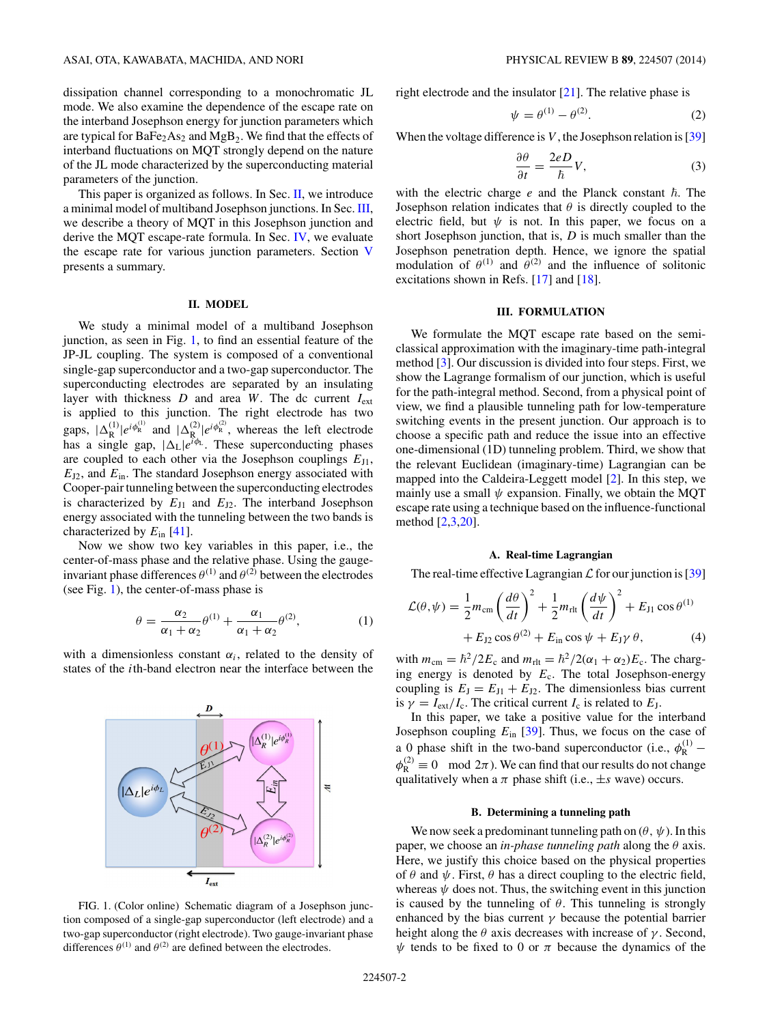<span id="page-1-0"></span>dissipation channel corresponding to a monochromatic JL mode. We also examine the dependence of the escape rate on the interband Josephson energy for junction parameters which are typical for  $BaFe<sub>2</sub>As<sub>2</sub>$  and  $MgB<sub>2</sub>$ . We find that the effects of interband fluctuations on MQT strongly depend on the nature of the JL mode characterized by the superconducting material parameters of the junction.

This paper is organized as follows. In Sec. II, we introduce a minimal model of multiband Josephson junctions. In Sec. III, we describe a theory of MQT in this Josephson junction and derive the MQT escape-rate formula. In Sec. [IV,](#page-3-0) we evaluate the escape rate for various junction parameters. Section [V](#page-4-0) presents a summary.

## **II. MODEL**

We study a minimal model of a multiband Josephson junction, as seen in Fig. 1, to find an essential feature of the JP-JL coupling. The system is composed of a conventional single-gap superconductor and a two-gap superconductor. The superconducting electrodes are separated by an insulating layer with thickness  $D$  and area  $W$ . The dc current  $I_{ext}$ is applied to this junction. The right electrode has two gaps,  $|\Delta_R^{(1)}|e^{i\phi_R^{(1)}}$  and  $|\Delta_R^{(2)}|e^{i\phi_R^{(2)}}$ , whereas the left electrode has a single gap,  $|\Delta_L|e^{i\phi_L}$ . These superconducting phases are coupled to each other via the Josephson couplings  $E_{J1}$ , *E*J2, and *E*in. The standard Josephson energy associated with Cooper-pair tunneling between the superconducting electrodes is characterized by  $E_{J1}$  and  $E_{J2}$ . The interband Josephson energy associated with the tunneling between the two bands is characterized by *E*in [\[41\]](#page-5-0).

Now we show two key variables in this paper, i.e., the center-of-mass phase and the relative phase. Using the gaugeinvariant phase differences  $\theta^{(1)}$  and  $\theta^{(2)}$  between the electrodes (see Fig. 1), the center-of-mass phase is

$$
\theta = \frac{\alpha_2}{\alpha_1 + \alpha_2} \theta^{(1)} + \frac{\alpha_1}{\alpha_1 + \alpha_2} \theta^{(2)},\tag{1}
$$

with a dimensionless constant  $\alpha_i$ , related to the density of states of the *i*th-band electron near the interface between the



FIG. 1. (Color online) Schematic diagram of a Josephson junction composed of a single-gap superconductor (left electrode) and a two-gap superconductor (right electrode). Two gauge-invariant phase differences  $\theta^{(1)}$  and  $\theta^{(2)}$  are defined between the electrodes.

right electrode and the insulator [\[21\]](#page-5-0). The relative phase is

$$
\psi = \theta^{(1)} - \theta^{(2)}.\tag{2}
$$

When the voltage difference is *V* , the Josephson relation is [\[39\]](#page-5-0)

$$
\frac{\partial \theta}{\partial t} = \frac{2eD}{\hbar}V,\tag{3}
$$

with the electric charge  $e$  and the Planck constant  $\hbar$ . The Josephson relation indicates that  $\theta$  is directly coupled to the electric field, but  $\psi$  is not. In this paper, we focus on a short Josephson junction, that is, *D* is much smaller than the Josephson penetration depth. Hence, we ignore the spatial modulation of  $\theta^{(1)}$  and  $\theta^{(2)}$  and the influence of solitonic excitations shown in Refs. [\[17\]](#page-5-0) and [\[18\]](#page-5-0).

#### **III. FORMULATION**

We formulate the MQT escape rate based on the semiclassical approximation with the imaginary-time path-integral method [\[3\]](#page-5-0). Our discussion is divided into four steps. First, we show the Lagrange formalism of our junction, which is useful for the path-integral method. Second, from a physical point of view, we find a plausible tunneling path for low-temperature switching events in the present junction. Our approach is to choose a specific path and reduce the issue into an effective one-dimensional (1D) tunneling problem. Third, we show that the relevant Euclidean (imaginary-time) Lagrangian can be mapped into the Caldeira-Leggett model [\[2\]](#page-5-0). In this step, we mainly use a small  $\psi$  expansion. Finally, we obtain the MQT escape rate using a technique based on the influence-functional method [\[2,3,20\]](#page-5-0).

# **A. Real-time Lagrangian**

The real-time effective Lagrangian  $\mathcal L$  for our junction is [\[39\]](#page-5-0)

$$
\mathcal{L}(\theta, \psi) = \frac{1}{2} m_{\text{cm}} \left( \frac{d\theta}{dt} \right)^2 + \frac{1}{2} m_{\text{rlt}} \left( \frac{d\psi}{dt} \right)^2 + E_{\text{J1}} \cos \theta^{(1)} + E_{\text{J2}} \cos \theta^{(2)} + E_{\text{in}} \cos \psi + E_{\text{J}} \gamma \theta, \tag{4}
$$

with  $m_{\text{cm}} = \hbar^2 / 2E_c$  and  $m_{\text{rlt}} = \hbar^2 / 2(\alpha_1 + \alpha_2)E_c$ . The charging energy is denoted by *E*c. The total Josephson-energy coupling is  $E_J = E_{J1} + E_{J2}$ . The dimensionless bias current is  $\gamma = I_{ext}/I_c$ . The critical current  $I_c$  is related to  $E_J$ .

In this paper, we take a positive value for the interband Josephson coupling *E*in [\[39\]](#page-5-0). Thus, we focus on the case of a 0 phase shift in the two-band superconductor (i.e.,  $\phi_R^{(1)}$  –  $\phi_{\rm R}^{(2)} \equiv 0 \mod 2\pi$ . We can find that our results do not change qualitatively when a  $\pi$  phase shift (i.e.,  $\pm s$  wave) occurs.

#### **B. Determining a tunneling path**

We now seek a predominant tunneling path on  $(\theta, \psi)$ . In this paper, we choose an *in-phase tunneling path* along the *θ* axis. Here, we justify this choice based on the physical properties of  $\theta$  and  $\psi$ . First,  $\theta$  has a direct coupling to the electric field, whereas  $\psi$  does not. Thus, the switching event in this junction is caused by the tunneling of  $\theta$ . This tunneling is strongly enhanced by the bias current  $\gamma$  because the potential barrier height along the  $\theta$  axis decreases with increase of  $\gamma$ . Second,  $\psi$  tends to be fixed to 0 or  $\pi$  because the dynamics of the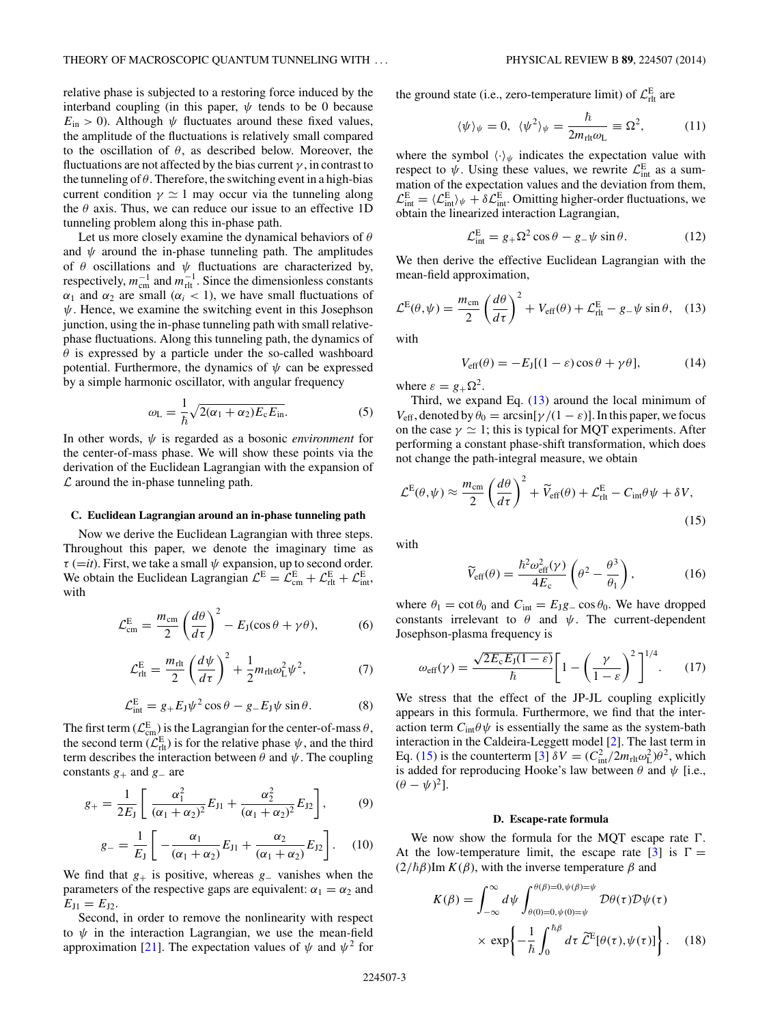<span id="page-2-0"></span>relative phase is subjected to a restoring force induced by the interband coupling (in this paper,  $\psi$  tends to be 0 because  $E_{\text{in}} > 0$ ). Although  $\psi$  fluctuates around these fixed values, the amplitude of the fluctuations is relatively small compared to the oscillation of *θ*, as described below. Moreover, the fluctuations are not affected by the bias current  $\gamma$ , in contrast to the tunneling of  $\theta$ . Therefore, the switching event in a high-bias current condition  $\gamma \simeq 1$  may occur via the tunneling along the  $\theta$  axis. Thus, we can reduce our issue to an effective 1D tunneling problem along this in-phase path.

Let us more closely examine the dynamical behaviors of *θ* and  $\psi$  around the in-phase tunneling path. The amplitudes of *θ* oscillations and *ψ* fluctuations are characterized by, respectively,  $m_{\text{cm}}^{-1}$  and  $m_{\text{rlt}}^{-1}$ . Since the dimensionless constants *α*<sub>1</sub> and *α*<sub>2</sub> are small ( $\alpha$ <sub>*i*</sub> < 1), we have small fluctuations of *ψ*. Hence, we examine the switching event in this Josephson junction, using the in-phase tunneling path with small relativephase fluctuations. Along this tunneling path, the dynamics of *θ* is expressed by a particle under the so-called washboard potential. Furthermore, the dynamics of  $\psi$  can be expressed by a simple harmonic oscillator, with angular frequency

$$
\omega_{\rm L} = \frac{1}{\hbar} \sqrt{2(\alpha_1 + \alpha_2) E_{\rm c} E_{\rm in}}.\tag{5}
$$

In other words, *ψ* is regarded as a bosonic *environment* for the center-of-mass phase. We will show these points via the derivation of the Euclidean Lagrangian with the expansion of  $\mathcal L$  around the in-phase tunneling path.

#### **C. Euclidean Lagrangian around an in-phase tunneling path**

Now we derive the Euclidean Lagrangian with three steps. Throughout this paper, we denote the imaginary time as  $\tau$  (=*it*). First, we take a small  $\psi$  expansion, up to second order. We obtain the Euclidean Lagrangian  $\mathcal{L}^{\text{E}} = \mathcal{L}^{\text{E}}_{\text{cm}} + \mathcal{L}^{\text{E}}_{\text{r} \text{it}} + \mathcal{L}^{\text{E}}_{\text{int}},$ with

$$
\mathcal{L}_{\text{cm}}^{\text{E}} = \frac{m_{\text{cm}}}{2} \left( \frac{d\theta}{d\tau} \right)^2 - E_J(\cos\theta + \gamma\theta), \tag{6}
$$

$$
\mathcal{L}_{\text{rlt}}^{\text{E}} = \frac{m_{\text{rlt}}}{2} \left(\frac{d\psi}{d\tau}\right)^2 + \frac{1}{2} m_{\text{rlt}} \omega_{\text{L}}^2 \psi^2, \tag{7}
$$

$$
\mathcal{L}_{int}^{E} = g_{+} E_{J} \psi^{2} \cos \theta - g_{-} E_{J} \psi \sin \theta.
$$
 (8)

The first term  $(\mathcal{L}_{cm}^E)$  is the Lagrangian for the center-of-mass  $\theta$ , the second term  $(\mathcal{L}_{\text{rlt}}^{\text{E}})$  is for the relative phase  $\psi$ , and the third term describes the interaction between  $\theta$  and  $\psi$ . The coupling constants *g*<sup>+</sup> and *g*<sup>−</sup> are

$$
g_{+} = \frac{1}{2E_{\rm J}} \left[ \frac{\alpha_{\rm I}^2}{(\alpha_{\rm I} + \alpha_{\rm 2})^2} E_{\rm J1} + \frac{\alpha_{\rm 2}^2}{(\alpha_{\rm I} + \alpha_{\rm 2})^2} E_{\rm J2} \right],\tag{9}
$$

$$
g_{-} = \frac{1}{E_{\rm J}} \left[ -\frac{\alpha_1}{(\alpha_1 + \alpha_2)} E_{\rm J1} + \frac{\alpha_2}{(\alpha_1 + \alpha_2)} E_{\rm J2} \right]. \quad (10)
$$

We find that  $g_{+}$  is positive, whereas  $g_{-}$  vanishes when the parameters of the respective gaps are equivalent:  $\alpha_1 = \alpha_2$  and  $E_{11} = E_{12}$ .

Second, in order to remove the nonlinearity with respect to  $\psi$  in the interaction Lagrangian, we use the mean-field approximation [\[21\]](#page-5-0). The expectation values of  $\psi$  and  $\psi^2$  for the ground state (i.e., zero-temperature limit) of  $\mathcal{L}_{\text{rlt}}^{\text{E}}$  are

$$
\langle \psi \rangle_{\psi} = 0, \ \langle \psi^2 \rangle_{\psi} = \frac{\hbar}{2m_{\text{rl} \psi}} \equiv \Omega^2, \tag{11}
$$

where the symbol  $\langle \cdot \rangle_{\psi}$  indicates the expectation value with respect to  $\psi$ . Using these values, we rewrite  $\mathcal{L}_{int}^{E}$  as a summation of the expectation values and the deviation from them,  $\mathcal{L}_{int}^{E} = \langle \mathcal{L}_{int}^{E} \rangle_{\psi} + \delta \mathcal{L}_{int}^{E}$ . Omitting higher-order fluctuations, we obtain the linearized interaction Lagrangian,

$$
\mathcal{L}_{int}^{E} = g_{+} \Omega^{2} \cos \theta - g_{-} \psi \sin \theta.
$$
 (12)

We then derive the effective Euclidean Lagrangian with the mean-field approximation,

$$
\mathcal{L}^{E}(\theta,\psi) = \frac{m_{\text{cm}}}{2} \left(\frac{d\theta}{d\tau}\right)^2 + V_{\text{eff}}(\theta) + \mathcal{L}^{E}_{\text{rlt}} - g_{-}\psi \sin \theta, \quad (13)
$$

with

$$
V_{\text{eff}}(\theta) = -E_J[(1 - \varepsilon)\cos\theta + \gamma\theta],\tag{14}
$$

where  $\varepsilon = g_+ \Omega^2$ .

Third, we expand Eq. (13) around the local minimum of *V*<sub>eff</sub>, denoted by  $\theta_0 = \arcsin[\gamma/(1 - \varepsilon)]$ . In this paper, we focus on the case  $\gamma \simeq 1$ ; this is typical for MQT experiments. After performing a constant phase-shift transformation, which does not change the path-integral measure, we obtain

$$
\mathcal{L}^{E}(\theta,\psi) \approx \frac{m_{\text{cm}}}{2} \left(\frac{d\theta}{d\tau}\right)^{2} + \widetilde{V}_{\text{eff}}(\theta) + \mathcal{L}_{\text{rlt}}^{E} - C_{\text{int}}\theta\psi + \delta V,\tag{15}
$$

with

$$
\widetilde{V}_{\rm eff}(\theta) = \frac{\hbar^2 \omega_{\rm eff}^2(\gamma)}{4E_{\rm c}} \left(\theta^2 - \frac{\theta^3}{\theta_1}\right),\tag{16}
$$

where  $\theta_1 = \cot \theta_0$  and  $C_{\text{int}} = E_J g_-\cos \theta_0$ . We have dropped constants irrelevant to  $\theta$  and  $\psi$ . The current-dependent Josephson-plasma frequency is

$$
\omega_{\text{eff}}(\gamma) = \frac{\sqrt{2E_{\text{c}}E_{\text{J}}(1-\varepsilon)}}{\hbar} \bigg[ 1 - \bigg(\frac{\gamma}{1-\varepsilon}\bigg)^2 \bigg]^{1/4}.
$$
 (17)

We stress that the effect of the JP-JL coupling explicitly appears in this formula. Furthermore, we find that the interaction term  $C_{int}$ *θ* $\psi$  is essentially the same as the system-bath interaction in the Caldeira-Leggett model [\[2\]](#page-5-0). The last term in Eq. (15) is the counterterm [\[3\]](#page-5-0)  $\delta V = (C_{int}^2/2m_{rl}\omega_L^2)\theta^2$ , which is added for reproducing Hooke's law between  $\theta$  and  $\psi$  [i.e.,  $(\theta - \psi)^2$ ].

#### **D. Escape-rate formula**

We now show the formula for the MQT escape rate  $\Gamma$ . At the low-temperature limit, the escape rate  $\lceil 3 \rceil$  is  $\Gamma =$  $(2/\hbar\beta)$ Im  $K(\beta)$ , with the inverse temperature  $\beta$  and

$$
K(\beta) = \int_{-\infty}^{\infty} d\psi \int_{\theta(0)=0, \psi(0)=\psi}^{\theta(\beta)=0, \psi(\beta)=\psi} \mathcal{D}\theta(\tau)\mathcal{D}\psi(\tau)
$$

$$
\times \exp\left\{-\frac{1}{\hbar} \int_{0}^{\hbar\beta} d\tau \, \widetilde{\mathcal{L}}^{E}[\theta(\tau), \psi(\tau)]\right\}.
$$
 (18)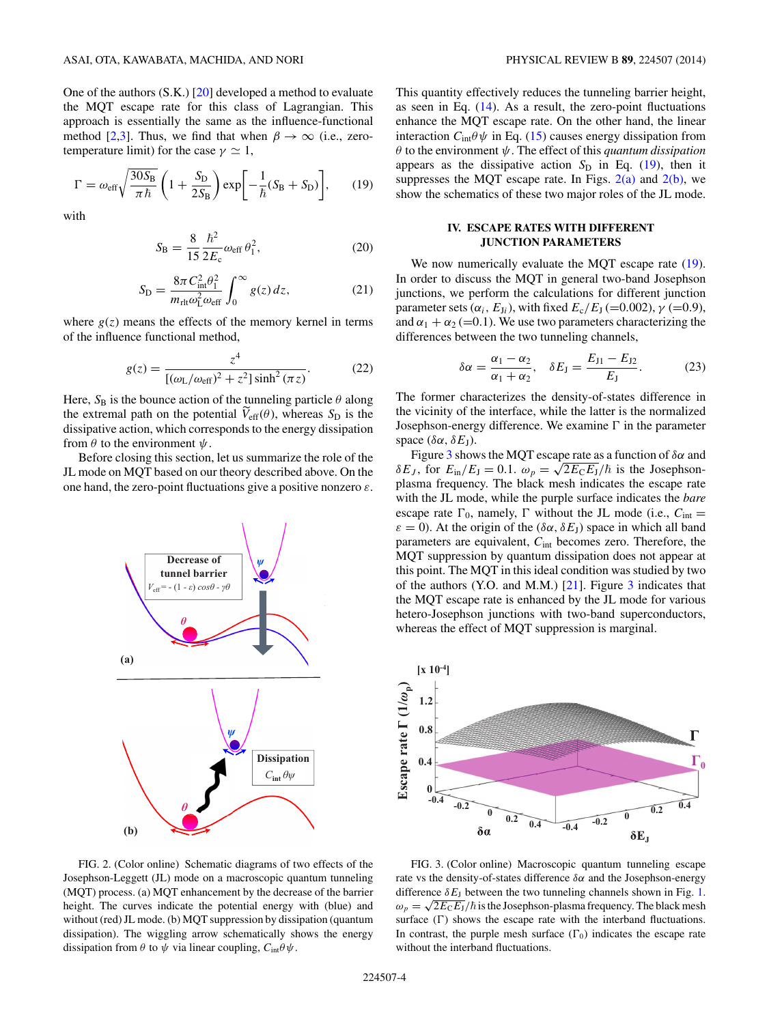<span id="page-3-0"></span>One of the authors (S.K.) [\[20\]](#page-5-0) developed a method to evaluate the MQT escape rate for this class of Lagrangian. This approach is essentially the same as the influence-functional method [\[2,3\]](#page-5-0). Thus, we find that when  $\beta \to \infty$  (i.e., zerotemperature limit) for the case  $\gamma \simeq 1$ ,

$$
\Gamma = \omega_{\rm eff} \sqrt{\frac{30 S_{\rm B}}{\pi \hbar}} \left( 1 + \frac{S_{\rm D}}{2 S_{\rm B}} \right) \exp \left[ -\frac{1}{\hbar} (S_{\rm B} + S_{\rm D}) \right],\tag{19}
$$

with

$$
S_{\rm B} = \frac{8}{15} \frac{\hbar^2}{2E_{\rm c}} \omega_{\rm eff} \theta_1^2, \qquad (20)
$$

$$
S_{\rm D} = \frac{8\pi C_{\rm int}^2 \theta_1^2}{m_{\rm rlt}\omega_{\rm L}^2 \omega_{\rm eff}} \int_0^\infty g(z) \, dz,\tag{21}
$$

where  $g(z)$  means the effects of the memory kernel in terms of the influence functional method,

$$
g(z) = \frac{z^4}{[(\omega_L/\omega_{\text{eff}})^2 + z^2] \sinh^2(\pi z)}.
$$
 (22)

Here,  $S_B$  is the bounce action of the tunneling particle  $\theta$  along the extremal path on the potential  $V_{\text{eff}}(\theta)$ , whereas  $S_{\text{D}}$  is the dissipative action, which corresponds to the energy dissipation from  $\theta$  to the environment  $\psi$ .

Before closing this section, let us summarize the role of the JL mode on MQT based on our theory described above. On the one hand, the zero-point fluctuations give a positive nonzero *ε*.



FIG. 2. (Color online) Schematic diagrams of two effects of the Josephson-Leggett (JL) mode on a macroscopic quantum tunneling (MQT) process. (a) MQT enhancement by the decrease of the barrier height. The curves indicate the potential energy with (blue) and without (red) JL mode. (b) MQT suppression by dissipation (quantum dissipation). The wiggling arrow schematically shows the energy dissipation from  $\theta$  to  $\psi$  via linear coupling,  $C_{int}\theta \psi$ .

This quantity effectively reduces the tunneling barrier height, as seen in Eq.  $(14)$ . As a result, the zero-point fluctuations enhance the MQT escape rate. On the other hand, the linear interaction  $C_{int}\theta \psi$  in Eq. [\(15\)](#page-2-0) causes energy dissipation from *θ* to the environment *ψ*. The effect of this *quantum dissipation* appears as the dissipative action  $S_D$  in Eq. (19), then it suppresses the MQT escape rate. In Figs.  $2(a)$  and  $2(b)$ , we show the schematics of these two major roles of the JL mode.

# **IV. ESCAPE RATES WITH DIFFERENT JUNCTION PARAMETERS**

We now numerically evaluate the MQT escape rate  $(19)$ . In order to discuss the MQT in general two-band Josephson junctions, we perform the calculations for different junction parameter sets ( $\alpha_i$ ,  $E_{J_i}$ ), with fixed  $E_c/E_J$  (=0.002),  $\gamma$  (=0.9), and  $\alpha_1 + \alpha_2$  (=0.1). We use two parameters characterizing the differences between the two tunneling channels,

$$
\delta \alpha = \frac{\alpha_1 - \alpha_2}{\alpha_1 + \alpha_2}, \quad \delta E_J = \frac{E_{J1} - E_{J2}}{E_J}.
$$
 (23)

The former characterizes the density-of-states difference in the vicinity of the interface, while the latter is the normalized Josephson-energy difference. We examine  $\Gamma$  in the parameter space ( $\delta \alpha$ ,  $\delta E$ <sub>J</sub>).

Figure 3 shows the MQT escape rate as a function of *δα* and *δE<sub>J</sub>*, for  $E_{\text{in}}/E_{\text{J}} = 0.1$ .  $ω_p = \sqrt{2E_{\text{C}}E_{\text{J}}}/\hbar$  is the Josephsonplasma frequency. The black mesh indicates the escape rate with the JL mode, while the purple surface indicates the *bare* escape rate  $\Gamma_0$ , namely,  $\Gamma$  without the JL mode (i.e.,  $C_{int}$  =  $\varepsilon = 0$ ). At the origin of the ( $\delta \alpha$ ,  $\delta E_J$ ) space in which all band parameters are equivalent, *C*int becomes zero. Therefore, the MQT suppression by quantum dissipation does not appear at this point. The MQT in this ideal condition was studied by two of the authors (Y.O. and M.M.) [\[21\]](#page-5-0). Figure 3 indicates that the MQT escape rate is enhanced by the JL mode for various hetero-Josephson junctions with two-band superconductors, whereas the effect of MQT suppression is marginal.



FIG. 3. (Color online) Macroscopic quantum tunneling escape rate vs the density-of-states difference *δα* and the Josephson-energy difference  $\delta E_J$  between the two tunneling channels shown in Fig. [1.](#page-1-0)  $\omega_p = \sqrt{2E_CE_J}/\hbar$  is the Josephson-plasma frequency. The black mesh surface  $(\Gamma)$  shows the escape rate with the interband fluctuations. In contrast, the purple mesh surface  $(\Gamma_0)$  indicates the escape rate without the interband fluctuations.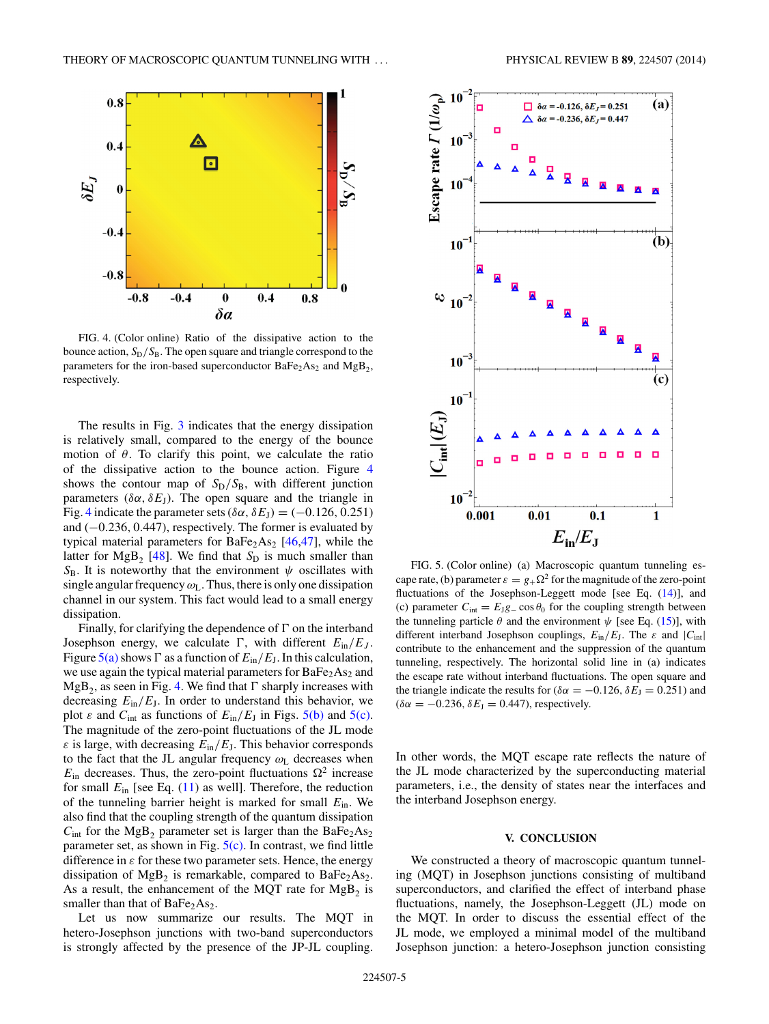<span id="page-4-0"></span>

FIG. 4. (Color online) Ratio of the dissipative action to the bounce action,  $S_D/S_B$ . The open square and triangle correspond to the parameters for the iron-based superconductor  $BaFe<sub>2</sub>As<sub>2</sub>$  and  $MgB<sub>2</sub>$ , respectively.

The results in Fig. [3](#page-3-0) indicates that the energy dissipation is relatively small, compared to the energy of the bounce motion of  $\theta$ . To clarify this point, we calculate the ratio of the dissipative action to the bounce action. Figure 4 shows the contour map of  $S_D/S_B$ , with different junction parameters ( $\delta \alpha$ ,  $\delta E$ <sub>J</sub>). The open square and the triangle in Fig. 4 indicate the parameter sets ( $\delta \alpha$ ,  $\delta E_J$ ) = (-0.126, 0.251) and (−0*.*236*,* 0*.*447), respectively. The former is evaluated by typical material parameters for  $BaFe<sub>2</sub>As<sub>2</sub>$  [\[46,47\]](#page-6-0), while the latter for  $MgB_2$  [\[48\]](#page-6-0). We find that  $S_D$  is much smaller than  $S_B$ . It is noteworthy that the environment  $\psi$  oscillates with single angular frequency  $\omega_L$ . Thus, there is only one dissipation channel in our system. This fact would lead to a small energy dissipation.

Finally, for clarifying the dependence of  $\Gamma$  on the interband Josephson energy, we calculate  $\Gamma$ , with different  $E_{\text{in}}/E_J$ . Figure  $5(a)$  shows  $\Gamma$  as a function of  $E_{\text{in}}/E_{\text{J}}$ . In this calculation, we use again the typical material parameters for  $BaFe<sub>2</sub>As<sub>2</sub>$  and  $MgB_2$ , as seen in Fig. 4. We find that  $\Gamma$  sharply increases with decreasing  $E_{\text{in}}/E_{\text{J}}$ . In order to understand this behavior, we plot  $\varepsilon$  and  $C_{\text{int}}$  as functions of  $E_{\text{in}}/E_{\text{J}}$  in Figs. 5(b) and 5(c). The magnitude of the zero-point fluctuations of the JL mode  $\varepsilon$  is large, with decreasing  $E_{\text{in}}/E_{\text{J}}$ . This behavior corresponds to the fact that the JL angular frequency *ω*<sup>L</sup> decreases when  $E_{\text{in}}$  decreases. Thus, the zero-point fluctuations  $\Omega^2$  increase for small  $E_{\text{in}}$  [see Eq. [\(11\)](#page-2-0) as well]. Therefore, the reduction of the tunneling barrier height is marked for small *E*in. We also find that the coupling strength of the quantum dissipation  $C_{\text{int}}$  for the MgB<sub>2</sub> parameter set is larger than the BaFe<sub>2</sub>As<sub>2</sub> parameter set, as shown in Fig.  $5(c)$ . In contrast, we find little difference in  $\varepsilon$  for these two parameter sets. Hence, the energy dissipation of  $MgB_2$  is remarkable, compared to  $BaFe<sub>2</sub>As<sub>2</sub>$ . As a result, the enhancement of the MQT rate for  $MgB<sub>2</sub>$  is smaller than that of  $BaFe<sub>2</sub>As<sub>2</sub>$ .

Let us now summarize our results. The MQT in hetero-Josephson junctions with two-band superconductors is strongly affected by the presence of the JP-JL coupling.



FIG. 5. (Color online) (a) Macroscopic quantum tunneling escape rate, (b) parameter  $\varepsilon = g_+ \Omega^2$  for the magnitude of the zero-point fluctuations of the Josephson-Leggett mode [see Eq.  $(14)$ ], and (c) parameter  $C_{\text{int}} = E_J g_-\cos\theta_0$  for the coupling strength between the tunneling particle  $\theta$  and the environment  $\psi$  [see Eq. [\(15\)](#page-2-0)], with different interband Josephson couplings,  $E_{\text{in}}/E_{\text{J}}$ . The  $\varepsilon$  and  $|C_{\text{int}}|$ contribute to the enhancement and the suppression of the quantum tunneling, respectively. The horizontal solid line in (a) indicates the escape rate without interband fluctuations. The open square and the triangle indicate the results for ( $\delta \alpha = -0.126$ ,  $\delta E_J = 0.251$ ) and  $(\delta \alpha = -0.236, \delta E_J = 0.447)$ , respectively.

In other words, the MQT escape rate reflects the nature of the JL mode characterized by the superconducting material parameters, i.e., the density of states near the interfaces and the interband Josephson energy.

# **V. CONCLUSION**

We constructed a theory of macroscopic quantum tunneling (MQT) in Josephson junctions consisting of multiband superconductors, and clarified the effect of interband phase fluctuations, namely, the Josephson-Leggett (JL) mode on the MQT. In order to discuss the essential effect of the JL mode, we employed a minimal model of the multiband Josephson junction: a hetero-Josephson junction consisting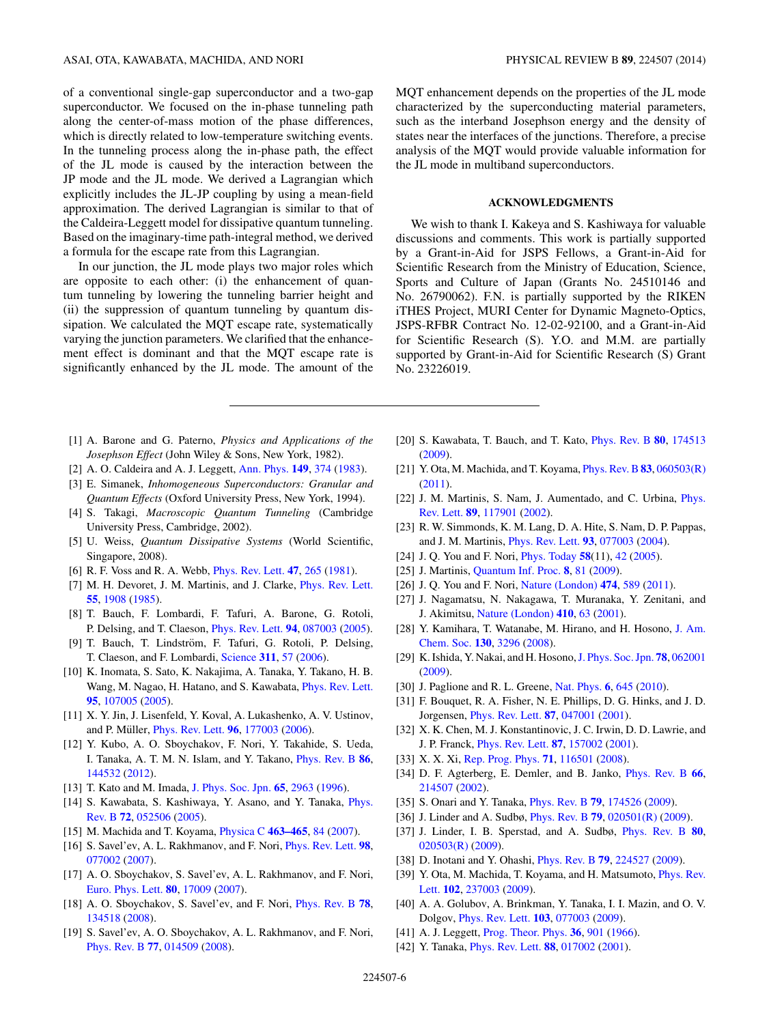<span id="page-5-0"></span>of a conventional single-gap superconductor and a two-gap superconductor. We focused on the in-phase tunneling path along the center-of-mass motion of the phase differences, which is directly related to low-temperature switching events. In the tunneling process along the in-phase path, the effect of the JL mode is caused by the interaction between the JP mode and the JL mode. We derived a Lagrangian which explicitly includes the JL-JP coupling by using a mean-field approximation. The derived Lagrangian is similar to that of the Caldeira-Leggett model for dissipative quantum tunneling. Based on the imaginary-time path-integral method, we derived a formula for the escape rate from this Lagrangian.

In our junction, the JL mode plays two major roles which are opposite to each other: (i) the enhancement of quantum tunneling by lowering the tunneling barrier height and (ii) the suppression of quantum tunneling by quantum dissipation. We calculated the MQT escape rate, systematically varying the junction parameters. We clarified that the enhancement effect is dominant and that the MQT escape rate is significantly enhanced by the JL mode. The amount of the MQT enhancement depends on the properties of the JL mode characterized by the superconducting material parameters, such as the interband Josephson energy and the density of states near the interfaces of the junctions. Therefore, a precise analysis of the MQT would provide valuable information for the JL mode in multiband superconductors.

# **ACKNOWLEDGMENTS**

We wish to thank I. Kakeya and S. Kashiwaya for valuable discussions and comments. This work is partially supported by a Grant-in-Aid for JSPS Fellows, a Grant-in-Aid for Scientific Research from the Ministry of Education, Science, Sports and Culture of Japan (Grants No. 24510146 and No. 26790062). F.N. is partially supported by the RIKEN iTHES Project, MURI Center for Dynamic Magneto-Optics, JSPS-RFBR Contract No. 12-02-92100, and a Grant-in-Aid for Scientific Research (S). Y.O. and M.M. are partially supported by Grant-in-Aid for Scientific Research (S) Grant No. 23226019.

- [1] A. Barone and G. Paterno, *Physics and Applications of the Josephson Effect* (John Wiley & Sons, New York, 1982).
- [2] A. O. Caldeira and A. J. Leggett, [Ann. Phys.](http://dx.doi.org/10.1016/0003-4916(83)90202-6) **[149](http://dx.doi.org/10.1016/0003-4916(83)90202-6)**, [374](http://dx.doi.org/10.1016/0003-4916(83)90202-6) [\(1983\)](http://dx.doi.org/10.1016/0003-4916(83)90202-6).
- [3] E. Simanek, *Inhomogeneous Superconductors: Granular and Quantum Effects* (Oxford University Press, New York, 1994).
- [4] S. Takagi, *Macroscopic Quantum Tunneling* (Cambridge University Press, Cambridge, 2002).
- [5] U. Weiss, *Quantum Dissipative Systems* (World Scientific, Singapore, 2008).
- [6] R. F. Voss and R. A. Webb, [Phys. Rev. Lett.](http://dx.doi.org/10.1103/PhysRevLett.47.265) **[47](http://dx.doi.org/10.1103/PhysRevLett.47.265)**, [265](http://dx.doi.org/10.1103/PhysRevLett.47.265) [\(1981\)](http://dx.doi.org/10.1103/PhysRevLett.47.265).
- [7] M. H. Devoret, J. M. Martinis, and J. Clarke, [Phys. Rev. Lett.](http://dx.doi.org/10.1103/PhysRevLett.55.1908) **[55](http://dx.doi.org/10.1103/PhysRevLett.55.1908)**, [1908](http://dx.doi.org/10.1103/PhysRevLett.55.1908) [\(1985\)](http://dx.doi.org/10.1103/PhysRevLett.55.1908).
- [8] T. Bauch, F. Lombardi, F. Tafuri, A. Barone, G. Rotoli, P. Delsing, and T. Claeson, [Phys. Rev. Lett.](http://dx.doi.org/10.1103/PhysRevLett.94.087003) **[94](http://dx.doi.org/10.1103/PhysRevLett.94.087003)**, [087003](http://dx.doi.org/10.1103/PhysRevLett.94.087003) [\(2005\)](http://dx.doi.org/10.1103/PhysRevLett.94.087003).
- [9] T. Bauch, T. Lindström, F. Tafuri, G. Rotoli, P. Delsing, T. Claeson, and F. Lombardi, [Science](http://dx.doi.org/10.1126/science.1120793) **[311](http://dx.doi.org/10.1126/science.1120793)**, [57](http://dx.doi.org/10.1126/science.1120793) [\(2006\)](http://dx.doi.org/10.1126/science.1120793).
- [10] K. Inomata, S. Sato, K. Nakajima, A. Tanaka, Y. Takano, H. B. Wang, M. Nagao, H. Hatano, and S. Kawabata, [Phys. Rev. Lett.](http://dx.doi.org/10.1103/PhysRevLett.95.107005) **[95](http://dx.doi.org/10.1103/PhysRevLett.95.107005)**, [107005](http://dx.doi.org/10.1103/PhysRevLett.95.107005) [\(2005\)](http://dx.doi.org/10.1103/PhysRevLett.95.107005).
- [11] X. Y. Jin, J. Lisenfeld, Y. Koval, A. Lukashenko, A. V. Ustinov, and P. Müller, *[Phys. Rev. Lett.](http://dx.doi.org/10.1103/PhysRevLett.96.177003)* **[96](http://dx.doi.org/10.1103/PhysRevLett.96.177003)**, [177003](http://dx.doi.org/10.1103/PhysRevLett.96.177003) [\(2006\)](http://dx.doi.org/10.1103/PhysRevLett.96.177003).
- [12] Y. Kubo, A. O. Sboychakov, F. Nori, Y. Takahide, S. Ueda, I. Tanaka, A. T. M. N. Islam, and Y. Takano, [Phys. Rev. B](http://dx.doi.org/10.1103/PhysRevB.86.144532) **[86](http://dx.doi.org/10.1103/PhysRevB.86.144532)**, [144532](http://dx.doi.org/10.1103/PhysRevB.86.144532) [\(2012\)](http://dx.doi.org/10.1103/PhysRevB.86.144532).
- [13] T. Kato and M. Imada, [J. Phys. Soc. Jpn.](http://dx.doi.org/10.1143/JPSJ.65.2963) **[65](http://dx.doi.org/10.1143/JPSJ.65.2963)**, [2963](http://dx.doi.org/10.1143/JPSJ.65.2963) [\(1996\)](http://dx.doi.org/10.1143/JPSJ.65.2963).
- [14] [S. Kawabata, S. Kashiwaya, Y. Asano, and Y. Tanaka,](http://dx.doi.org/10.1103/PhysRevB.72.052506) *Phys.* Rev. B **[72](http://dx.doi.org/10.1103/PhysRevB.72.052506)**, [052506](http://dx.doi.org/10.1103/PhysRevB.72.052506) [\(2005\)](http://dx.doi.org/10.1103/PhysRevB.72.052506).
- [15] M. Machida and T. Koyama, [Physica C](http://dx.doi.org/10.1016/j.physc.2007.05.008) **[463–465](http://dx.doi.org/10.1016/j.physc.2007.05.008)**, [84](http://dx.doi.org/10.1016/j.physc.2007.05.008) [\(2007\)](http://dx.doi.org/10.1016/j.physc.2007.05.008).
- [16] S. Savel'ev, A. L. Rakhmanov, and F. Nori, [Phys. Rev. Lett.](http://dx.doi.org/10.1103/PhysRevLett.98.077002) **[98](http://dx.doi.org/10.1103/PhysRevLett.98.077002)**, [077002](http://dx.doi.org/10.1103/PhysRevLett.98.077002) [\(2007\)](http://dx.doi.org/10.1103/PhysRevLett.98.077002).
- [17] A. O. Sboychakov, S. Savel'ev, A. L. Rakhmanov, and F. Nori, [Euro. Phys. Lett.](http://dx.doi.org/10.1209/0295-5075/80/17009) **[80](http://dx.doi.org/10.1209/0295-5075/80/17009)**, [17009](http://dx.doi.org/10.1209/0295-5075/80/17009) [\(2007\)](http://dx.doi.org/10.1209/0295-5075/80/17009).
- [18] A. O. Sboychakov, S. Savel'ev, and F. Nori, [Phys. Rev. B](http://dx.doi.org/10.1103/PhysRevB.78.134518) **[78](http://dx.doi.org/10.1103/PhysRevB.78.134518)**, [134518](http://dx.doi.org/10.1103/PhysRevB.78.134518) [\(2008\)](http://dx.doi.org/10.1103/PhysRevB.78.134518).
- [19] S. Savel'ev, A. O. Sboychakov, A. L. Rakhmanov, and F. Nori, [Phys. Rev. B](http://dx.doi.org/10.1103/PhysRevB.77.014509) **[77](http://dx.doi.org/10.1103/PhysRevB.77.014509)**, [014509](http://dx.doi.org/10.1103/PhysRevB.77.014509) [\(2008\)](http://dx.doi.org/10.1103/PhysRevB.77.014509).
- [20] S. Kawabata, T. Bauch, and T. Kato, [Phys. Rev. B](http://dx.doi.org/10.1103/PhysRevB.80.174513) **[80](http://dx.doi.org/10.1103/PhysRevB.80.174513)**, [174513](http://dx.doi.org/10.1103/PhysRevB.80.174513) [\(2009\)](http://dx.doi.org/10.1103/PhysRevB.80.174513).
- [21] Y. Ota, M. Machida, and T. Koyama, [Phys. Rev. B](http://dx.doi.org/10.1103/PhysRevB.83.060503)**[83](http://dx.doi.org/10.1103/PhysRevB.83.060503)**, [060503\(R\)](http://dx.doi.org/10.1103/PhysRevB.83.060503) [\(2011\)](http://dx.doi.org/10.1103/PhysRevB.83.060503).
- [22] [J. M. Martinis, S. Nam, J. Aumentado, and C. Urbina,](http://dx.doi.org/10.1103/PhysRevLett.89.117901) *Phys.* Rev. Lett. **[89](http://dx.doi.org/10.1103/PhysRevLett.89.117901)**, [117901](http://dx.doi.org/10.1103/PhysRevLett.89.117901) [\(2002\)](http://dx.doi.org/10.1103/PhysRevLett.89.117901).
- [23] R. W. Simmonds, K. M. Lang, D. A. Hite, S. Nam, D. P. Pappas, and J. M. Martinis, [Phys. Rev. Lett.](http://dx.doi.org/10.1103/PhysRevLett.93.077003) **[93](http://dx.doi.org/10.1103/PhysRevLett.93.077003)**, [077003](http://dx.doi.org/10.1103/PhysRevLett.93.077003) [\(2004\)](http://dx.doi.org/10.1103/PhysRevLett.93.077003).
- [24] J. Q. You and F. Nori, [Phys. Today](http://dx.doi.org/10.1063/1.2155757) **[58](http://dx.doi.org/10.1063/1.2155757)**(11), [42](http://dx.doi.org/10.1063/1.2155757) [\(2005\)](http://dx.doi.org/10.1063/1.2155757).
- [25] J. Martinis, [Quantum Inf. Proc.](http://dx.doi.org/10.1007/s11128-009-0105-1) **[8](http://dx.doi.org/10.1007/s11128-009-0105-1)**, [81](http://dx.doi.org/10.1007/s11128-009-0105-1) [\(2009\)](http://dx.doi.org/10.1007/s11128-009-0105-1).
- [26] J. Q. You and F. Nori, [Nature \(London\)](http://dx.doi.org/10.1038/nature10122) **[474](http://dx.doi.org/10.1038/nature10122)**, [589](http://dx.doi.org/10.1038/nature10122) [\(2011\)](http://dx.doi.org/10.1038/nature10122).
- [27] J. Nagamatsu, N. Nakagawa, T. Muranaka, Y. Zenitani, and J. Akimitsu, [Nature \(London\)](http://dx.doi.org/10.1038/35065039) **[410](http://dx.doi.org/10.1038/35065039)**, [63](http://dx.doi.org/10.1038/35065039) [\(2001\)](http://dx.doi.org/10.1038/35065039).
- [28] [Y. Kamihara, T. Watanabe, M. Hirano, and H. Hosono,](http://dx.doi.org/10.1021/ja800073m) J. Am. Chem. Soc. **[130](http://dx.doi.org/10.1021/ja800073m)**, [3296](http://dx.doi.org/10.1021/ja800073m) [\(2008\)](http://dx.doi.org/10.1021/ja800073m).
- [29] K. Ishida, Y. Nakai, and H. Hosono,[J. Phys. Soc. Jpn.](http://dx.doi.org/10.1143/JPSJ.78.062001) **[78](http://dx.doi.org/10.1143/JPSJ.78.062001)**, [062001](http://dx.doi.org/10.1143/JPSJ.78.062001) [\(2009\)](http://dx.doi.org/10.1143/JPSJ.78.062001).
- [30] J. Paglione and R. L. Greene, [Nat. Phys.](http://dx.doi.org/10.1038/nphys1759) **[6](http://dx.doi.org/10.1038/nphys1759)**, [645](http://dx.doi.org/10.1038/nphys1759) [\(2010\)](http://dx.doi.org/10.1038/nphys1759).
- [31] F. Bouquet, R. A. Fisher, N. E. Phillips, D. G. Hinks, and J. D. Jorgensen, [Phys. Rev. Lett.](http://dx.doi.org/10.1103/PhysRevLett.87.047001) **[87](http://dx.doi.org/10.1103/PhysRevLett.87.047001)**, [047001](http://dx.doi.org/10.1103/PhysRevLett.87.047001) [\(2001\)](http://dx.doi.org/10.1103/PhysRevLett.87.047001).
- [32] X. K. Chen, M. J. Konstantinovic, J. C. Irwin, D. D. Lawrie, and J. P. Franck, [Phys. Rev. Lett.](http://dx.doi.org/10.1103/PhysRevLett.87.157002) **[87](http://dx.doi.org/10.1103/PhysRevLett.87.157002)**, [157002](http://dx.doi.org/10.1103/PhysRevLett.87.157002) [\(2001\)](http://dx.doi.org/10.1103/PhysRevLett.87.157002).
- [33] X. X. Xi, [Rep. Prog. Phys.](http://dx.doi.org/10.1088/0034-4885/71/11/116501) **[71](http://dx.doi.org/10.1088/0034-4885/71/11/116501)**, [116501](http://dx.doi.org/10.1088/0034-4885/71/11/116501) [\(2008\)](http://dx.doi.org/10.1088/0034-4885/71/11/116501).
- [34] D. F. Agterberg, E. Demler, and B. Janko, [Phys. Rev. B](http://dx.doi.org/10.1103/PhysRevB.66.214507) **[66](http://dx.doi.org/10.1103/PhysRevB.66.214507)**, [214507](http://dx.doi.org/10.1103/PhysRevB.66.214507) [\(2002\)](http://dx.doi.org/10.1103/PhysRevB.66.214507).
- [35] S. Onari and Y. Tanaka, [Phys. Rev. B](http://dx.doi.org/10.1103/PhysRevB.79.174526) **[79](http://dx.doi.org/10.1103/PhysRevB.79.174526)**, [174526](http://dx.doi.org/10.1103/PhysRevB.79.174526) [\(2009\)](http://dx.doi.org/10.1103/PhysRevB.79.174526).
- [36] J. Linder and A. Sudbø, [Phys. Rev. B](http://dx.doi.org/10.1103/PhysRevB.79.020501) **[79](http://dx.doi.org/10.1103/PhysRevB.79.020501)**, [020501\(R\)](http://dx.doi.org/10.1103/PhysRevB.79.020501) [\(2009\)](http://dx.doi.org/10.1103/PhysRevB.79.020501).
- [37] J. Linder, I. B. Sperstad, and A. Sudbø, [Phys. Rev. B](http://dx.doi.org/10.1103/PhysRevB.80.020503) **[80](http://dx.doi.org/10.1103/PhysRevB.80.020503)**, [020503\(R\)](http://dx.doi.org/10.1103/PhysRevB.80.020503) [\(2009\)](http://dx.doi.org/10.1103/PhysRevB.80.020503).
- [38] D. Inotani and Y. Ohashi, [Phys. Rev. B](http://dx.doi.org/10.1103/PhysRevB.79.224527) **[79](http://dx.doi.org/10.1103/PhysRevB.79.224527)**, [224527](http://dx.doi.org/10.1103/PhysRevB.79.224527) [\(2009\)](http://dx.doi.org/10.1103/PhysRevB.79.224527).
- [39] [Y. Ota, M. Machida, T. Koyama, and H. Matsumoto,](http://dx.doi.org/10.1103/PhysRevLett.102.237003) *Phys. Rev.* Lett. **[102](http://dx.doi.org/10.1103/PhysRevLett.102.237003)**, [237003](http://dx.doi.org/10.1103/PhysRevLett.102.237003) [\(2009\)](http://dx.doi.org/10.1103/PhysRevLett.102.237003).
- [40] A. A. Golubov, A. Brinkman, Y. Tanaka, I. I. Mazin, and O. V. Dolgov, [Phys. Rev. Lett.](http://dx.doi.org/10.1103/PhysRevLett.103.077003) **[103](http://dx.doi.org/10.1103/PhysRevLett.103.077003)**, [077003](http://dx.doi.org/10.1103/PhysRevLett.103.077003) [\(2009\)](http://dx.doi.org/10.1103/PhysRevLett.103.077003).
- [41] A. J. Leggett, [Prog. Theor. Phys.](http://dx.doi.org/10.1143/PTP.36.901) **[36](http://dx.doi.org/10.1143/PTP.36.901)**, [901](http://dx.doi.org/10.1143/PTP.36.901) [\(1966\)](http://dx.doi.org/10.1143/PTP.36.901).
- [42] Y. Tanaka, [Phys. Rev. Lett.](http://dx.doi.org/10.1103/PhysRevLett.88.017002) **[88](http://dx.doi.org/10.1103/PhysRevLett.88.017002)**, [017002](http://dx.doi.org/10.1103/PhysRevLett.88.017002) [\(2001\)](http://dx.doi.org/10.1103/PhysRevLett.88.017002).